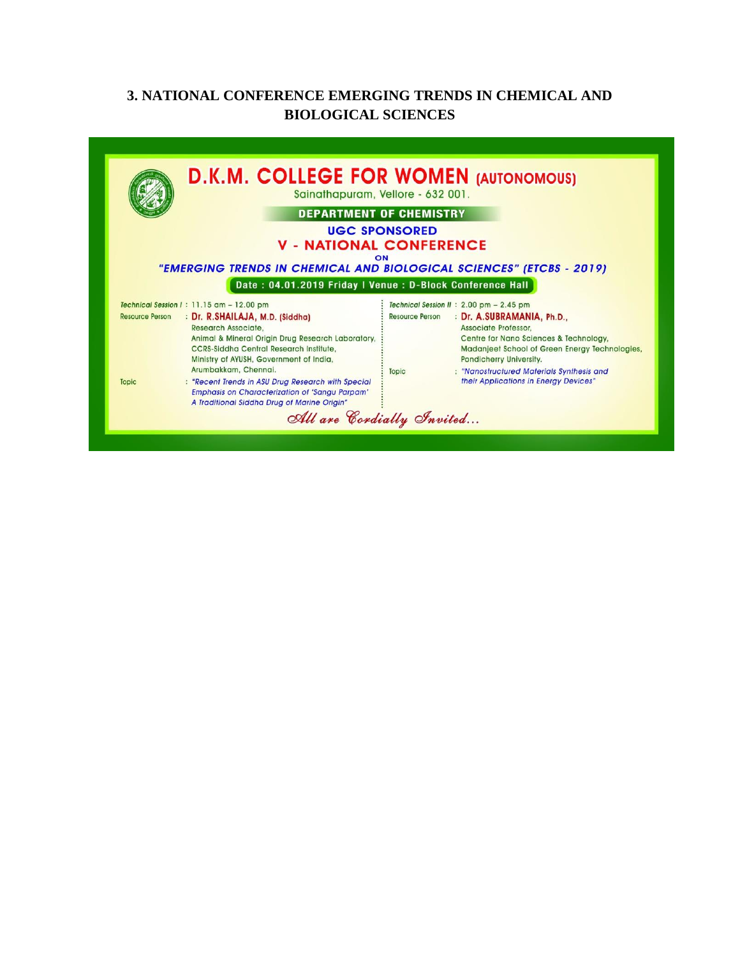## **3. NATIONAL CONFERENCE EMERGING TRENDS IN CHEMICAL AND BIOLOGICAL SCIENCES**

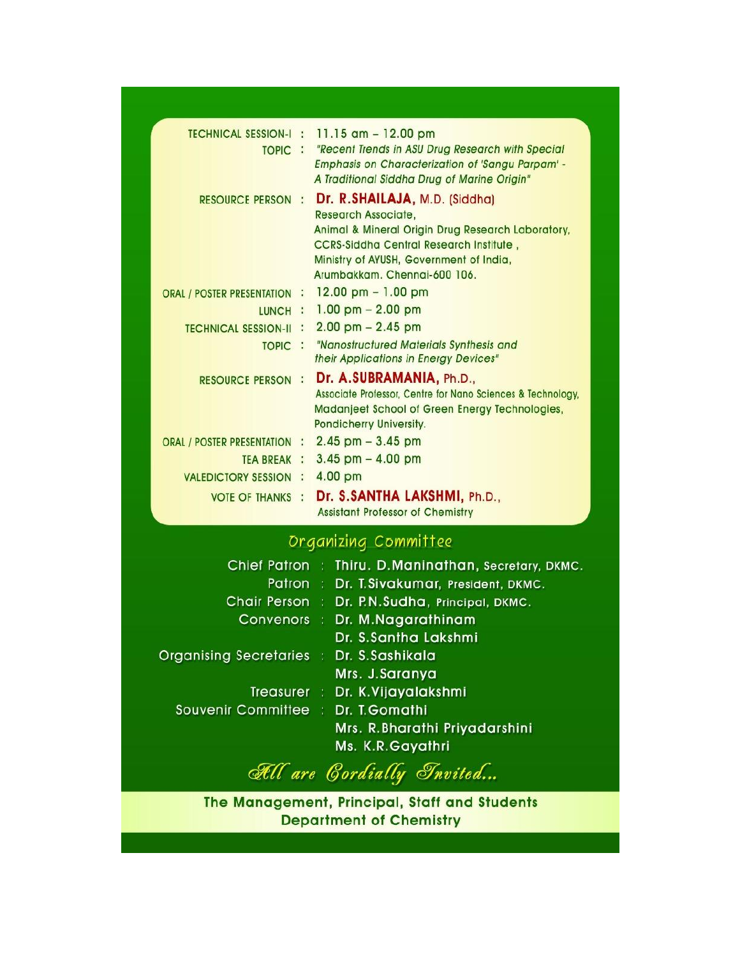| <b>TECHNICAL SESSION-I:</b><br>TOPIC : |  | 11.15 $am - 12.00 pm$<br>"Recent Trends in ASU Drug Research with Special<br><b>Emphasis on Characterization of 'Sangu Parpam' -</b><br>A Traditional Siddha Drug of Marine Origin"                                                           |
|----------------------------------------|--|-----------------------------------------------------------------------------------------------------------------------------------------------------------------------------------------------------------------------------------------------|
| <b>RESOURCE PERSON:</b>                |  | Dr. R.SHAILAJA, M.D. (Siddha)<br><b>Research Associate.</b><br>Animal & Mineral Origin Drug Research Laboratory,<br><b>CCRS-Siddha Central Research Institute,</b><br>Ministry of AYUSH, Government of India,<br>Arumbakkam, Chennai-600 106. |
| ORAL / POSTER PRESENTATION :           |  | $12.00 \text{ pm} - 1.00 \text{ pm}$                                                                                                                                                                                                          |
| LUNCH :                                |  | $1.00$ pm $- 2.00$ pm                                                                                                                                                                                                                         |
| <b>TECHNICAL SESSION-II</b>            |  | $2.00$ pm $- 2.45$ pm                                                                                                                                                                                                                         |
| TOPIC :                                |  | "Nanostructured Materials Synthesis and<br>their Applications in Energy Devices"                                                                                                                                                              |
| <b>RESOURCE PERSON :</b>               |  | Dr. A.SUBRAMANIA, Ph.D.,<br>Associate Professor, Centre for Nano Sciences & Technology,<br>Madanjeet School of Green Energy Technologies,<br>Pondicherry University.                                                                          |
| ORAL / POSTER PRESENTATION :           |  | $2.45$ pm $-3.45$ pm                                                                                                                                                                                                                          |
| TEA BREAK :                            |  | $3.45$ pm $- 4.00$ pm                                                                                                                                                                                                                         |
| <b>VALEDICTORY SESSION :</b>           |  | 4.00 pm                                                                                                                                                                                                                                       |
| <b>VOTE OF THANKS :</b>                |  | Dr. S.SANTHA LAKSHMI, Ph.D.,<br><b>Assistant Professor of Chemistry</b>                                                                                                                                                                       |
| Dragnizing Committee                   |  |                                                                                                                                                                                                                                               |

## Chief Patron: Thiru. D.Maninathan, Secretary, DKMC. Patron: Dr. T.Sivakumar, President, DKMC. Chair Person : Dr. P.N.Sudha, Principal, DKMC. Convenors : Dr. M.Nagarathinam Dr. S.Santha Lakshmi Organising Secretaries : Dr. S.Sashikala Mrs. J.Saranya Treasurer : Dr. K. Vijayalakshmi Souvenir Committee : Dr. T. Gomathi Mrs. R. Bharathi Priyadarshini Ms. K.R.Gayathri

All are Cordially Invited...

The Management, Principal, Staff and Students **Department of Chemistry**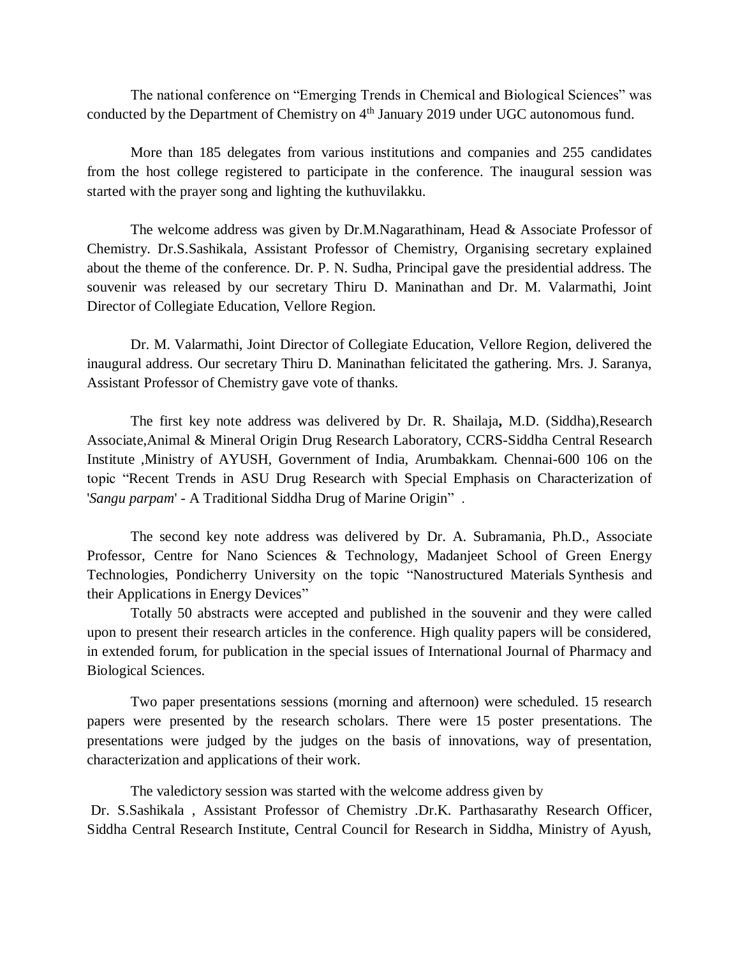The national conference on "Emerging Trends in Chemical and Biological Sciences" was conducted by the Department of Chemistry on 4<sup>th</sup> January 2019 under UGC autonomous fund.

More than 185 delegates from various institutions and companies and 255 candidates from the host college registered to participate in the conference. The inaugural session was started with the prayer song and lighting the kuthuvilakku.

The welcome address was given by Dr.M.Nagarathinam, Head & Associate Professor of Chemistry. Dr.S.Sashikala, Assistant Professor of Chemistry, Organising secretary explained about the theme of the conference. Dr. P. N. Sudha, Principal gave the presidential address. The souvenir was released by our secretary Thiru D. Maninathan and Dr. M. Valarmathi, Joint Director of Collegiate Education, Vellore Region.

Dr. M. Valarmathi, Joint Director of Collegiate Education, Vellore Region, delivered the inaugural address. Our secretary Thiru D. Maninathan felicitated the gathering. Mrs. J. Saranya, Assistant Professor of Chemistry gave vote of thanks.

The first key note address was delivered by Dr. R. Shailaja**,** M.D. (Siddha),Research Associate,Animal & Mineral Origin Drug Research Laboratory, CCRS-Siddha Central Research Institute ,Ministry of AYUSH, Government of India, Arumbakkam. Chennai-600 106 on the topic "Recent Trends in ASU Drug Research with Special Emphasis on Characterization of '*Sangu parpam*' - A Traditional Siddha Drug of Marine Origin" .

The second key note address was delivered by Dr. A. Subramania, Ph.D., Associate Professor, Centre for Nano Sciences & Technology, Madanjeet School of Green Energy Technologies, Pondicherry University on the topic "Nanostructured Materials Synthesis and their Applications in Energy Devices"

Totally 50 abstracts were accepted and published in the souvenir and they were called upon to present their research articles in the conference. High quality papers will be considered, in extended forum, for publication in the special issues of International Journal of Pharmacy and Biological Sciences.

Two paper presentations sessions (morning and afternoon) were scheduled. 15 research papers were presented by the research scholars. There were 15 poster presentations. The presentations were judged by the judges on the basis of innovations, way of presentation, characterization and applications of their work.

The valedictory session was started with the welcome address given by Dr. S.Sashikala , Assistant Professor of Chemistry .Dr.K. Parthasarathy Research Officer, Siddha Central Research Institute, Central Council for Research in Siddha, Ministry of Ayush,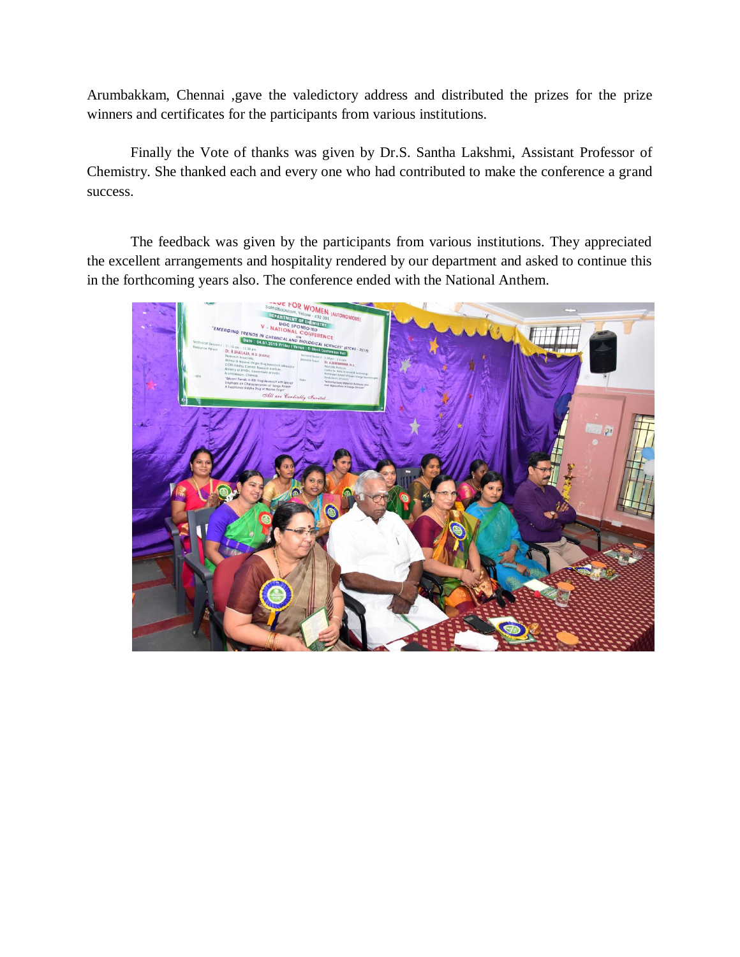Arumbakkam, Chennai ,gave the valedictory address and distributed the prizes for the prize winners and certificates for the participants from various institutions.

Finally the Vote of thanks was given by Dr.S. Santha Lakshmi, Assistant Professor of Chemistry. She thanked each and every one who had contributed to make the conference a grand success.

The feedback was given by the participants from various institutions. They appreciated the excellent arrangements and hospitality rendered by our department and asked to continue this in the forthcoming years also. The conference ended with the National Anthem.